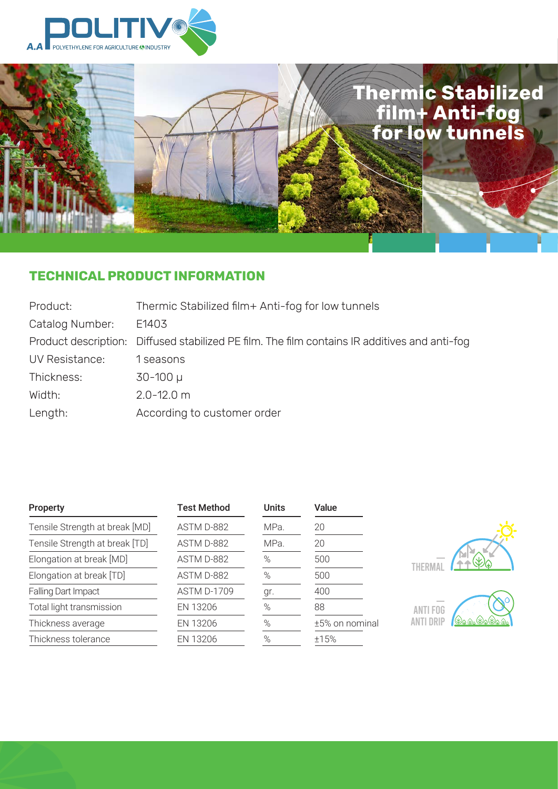

La

# **Thermic Stabilized film+ Anti-fog for low tunnels**

# **TECHNICAL PRODUCT INFORMATION**

| Product:        | Thermic Stabilized film+ Anti-fog for low tunnels                                             |
|-----------------|-----------------------------------------------------------------------------------------------|
| Catalog Number: | E1403                                                                                         |
|                 | Product description: Diffused stabilized PE film. The film contains IR additives and anti-fog |
| UV Resistance:  | 1 seasons                                                                                     |
| Thickness:      | $30 - 100 \mu$                                                                                |
| Width:          | $2.0 - 12.0$ m                                                                                |
| Length:         | According to customer order                                                                   |

| <b>Property</b>                | <b>Test Method</b> | <b>Units</b> | Value          |                  |
|--------------------------------|--------------------|--------------|----------------|------------------|
| Tensile Strength at break [MD] | ASTM D-882         | MPa.         | 20             |                  |
| Tensile Strength at break [TD] | ASTM D-882         | MPa.         | 20             |                  |
| Elongation at break [MD]       | ASTM D-882         | $\%$         | 500            |                  |
| Elongation at break [TD]       | ASTM D-882         | $\%$         | 500            |                  |
| Falling Dart Impact            | <b>ASTM D-1709</b> | gr.          | 400            |                  |
| Total light transmission       | EN 13206           | $\%$         | 88             | ANTI FUG         |
| Thickness average              | EN 13206           | $\%$         | ±5% on nominal | <b>ANTI DRIP</b> |
| Thickness tolerance            | EN 13206           | $\%$         | ±15%           |                  |